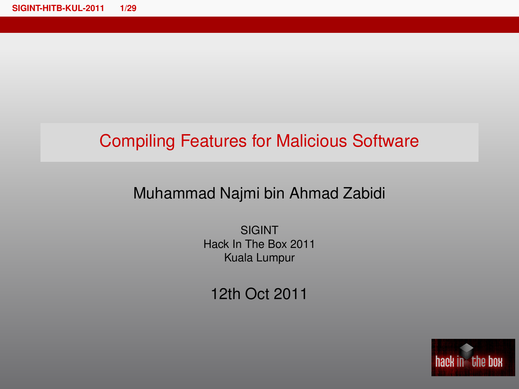## Compiling Features for Malicious Software

### <span id="page-0-0"></span>Muhammad Najmi bin Ahmad Zabidi

SIGINT Hack In The Box 2011 Kuala Lumpur

12th Oct 2011

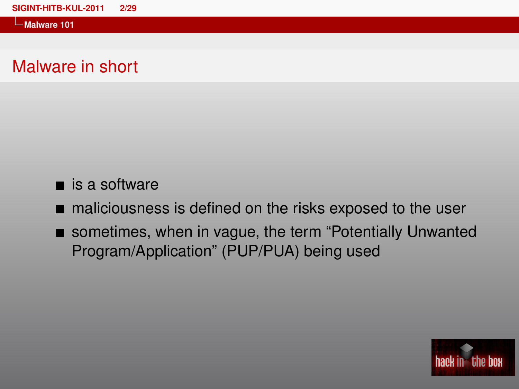**Malware 101**

### Malware in short

### $\blacksquare$  is a software

maliciousness is defined on the risks exposed to the user

sometimes, when in vague, the term "Potentially Unwanted" Program/Application" (PUP/PUA) being used

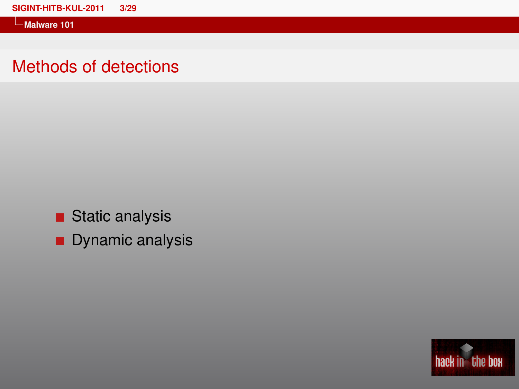**Malware 101**

### Methods of detections

- Static analysis
- **Dynamic analysis**

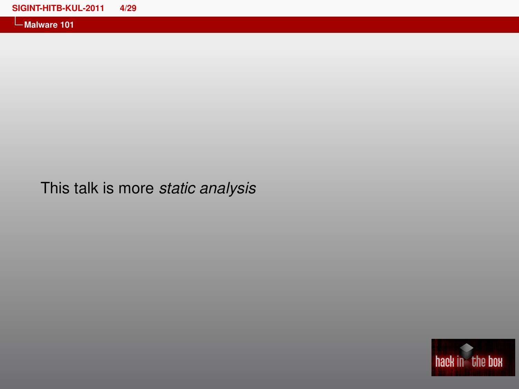**Malware 101**

## This talk is more *static analysis*

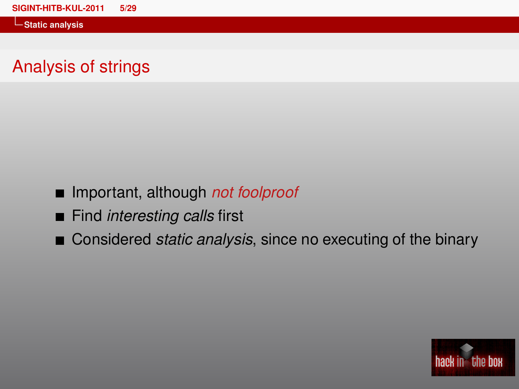**Static analysis**

## Analysis of strings

- Important, although *not foolproof*
- **Find** *interesting calls* first
- Considered *static analysis*, since no executing of the binary

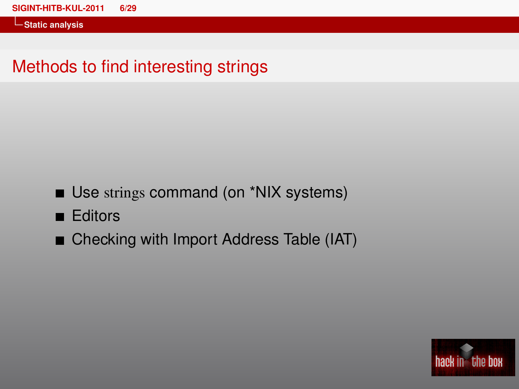**Static analysis**

## Methods to find interesting strings

- Use strings command (on \*NIX systems)
- **Editors**
- Checking with Import Address Table (IAT)

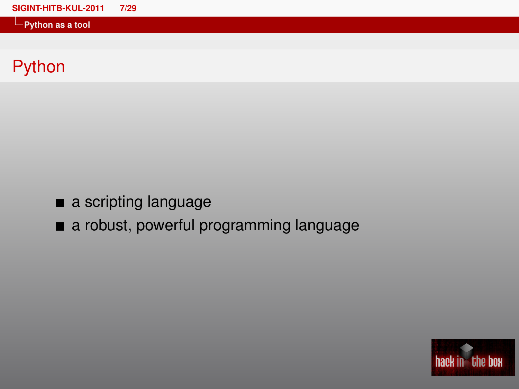| SIGINT-HITB-KUL-2011          | 7/29 |
|-------------------------------|------|
| $\leftarrow$ Python as a tool |      |

# Python

- a scripting language
- a robust, powerful programming language

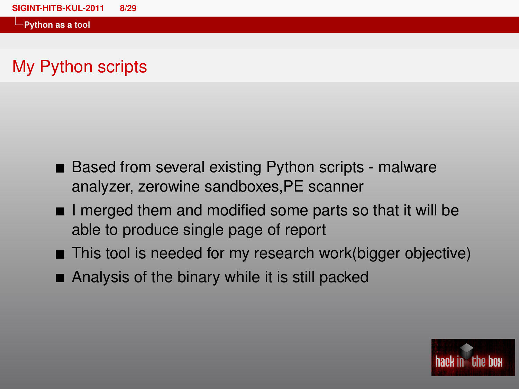## My Python scripts

- Based from several existing Python scripts malware analyzer, zerowine sandboxes,PE scanner
- $\blacksquare$  I merged them and modified some parts so that it will be able to produce single page of report
- This tool is needed for my research work(bigger objective)
- Analysis of the binary while it is still packed

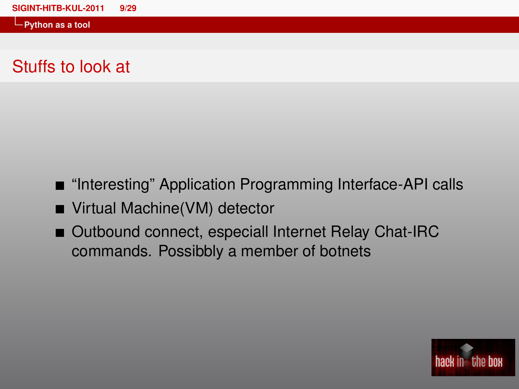## Stuffs to look at

- "Interesting" Application Programming Interface-API calls
- Virtual Machine(VM) detector
- Outbound connect, especiall Internet Relay Chat-IRC commands. Possibbly a member of botnets

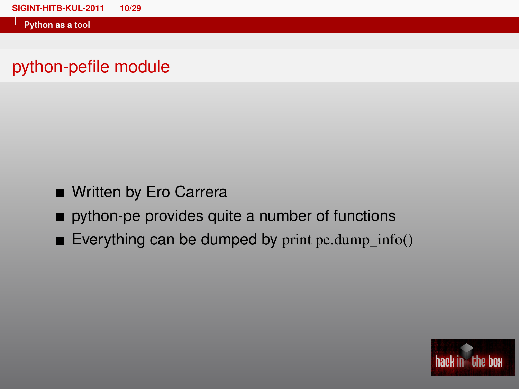## python-pefile module

- Written by Ero Carrera
- python-pe provides quite a number of functions
- Everything can be dumped by print pe.dump  $info()$

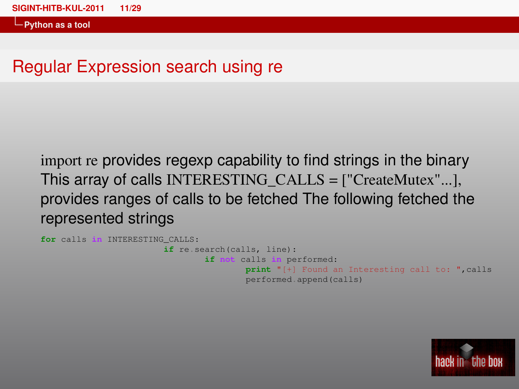## Regular Expression search using re

import re provides regexp capability to find strings in the binary This array of calls INTERESTING\_CALLS = ["CreateMutex"...], provides ranges of calls to be fetched The following fetched the represented strings

```
for calls in INTERESTING_CALLS:
                        if re.search(calls, line):
                                if not calls in performed:
                                        print "[+] Found an Interesting call to: ",calls
                                        performed.append(calls)
```
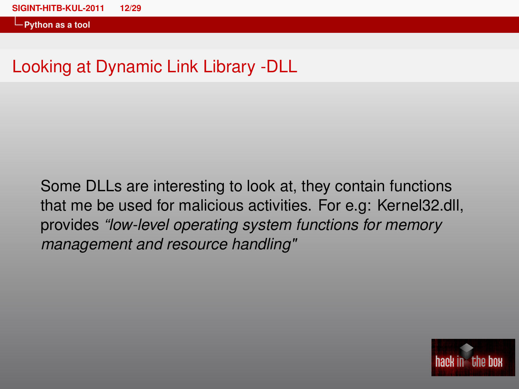## Looking at Dynamic Link Library -DLL

Some DLLs are interesting to look at, they contain functions that me be used for malicious activities. For e.g: Kernel32.dll, provides *"low-level operating system functions for memory management and resource handling"*

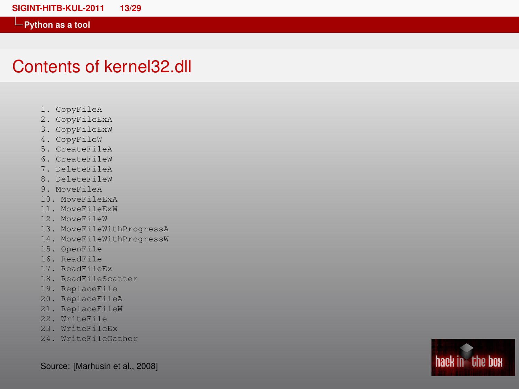### Contents of kernel32.dll

- 1. CopyFileA
- 2. CopyFileExA
- 3. CopyFileExW
- 4. CopyFileW
- 5. CreateFileA
- 6. CreateFileW
- 7. DeleteFileA
- 8. DeleteFileW
- 9. MoveFileA
- 10. MoveFileExA
- 11. MoveFileExW
- 12. MoveFileW
- 13. MoveFileWithProgressA
- 14. MoveFileWithProgressW
- 15. OpenFile
- 16. ReadFile
- 17. ReadFileEx
- 18. ReadFileScatter
- 19. ReplaceFile
- 20. ReplaceFileA
- 21. ReplaceFileW
- 22. WriteFile
- 23. WriteFileEx
- 24. WriteFileGather

Source: [\[Marhusin et al., 2008\]](#page-28-1)

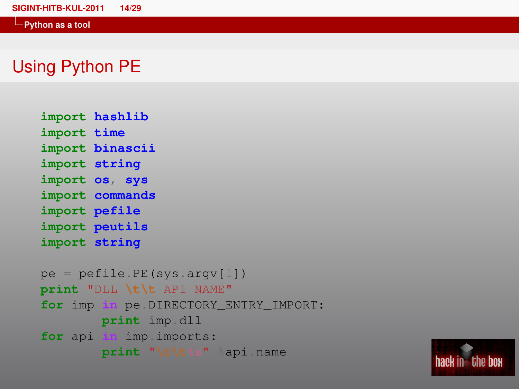### Using Python PE

```
import hashlib
import time
import binascii
import string
import os, sys
import commands
import pefile
import peutils
import string
pe = pefile PE(sys.argv[1])
print "DLL \t\t API NAME"
```

```
for imp in pe.DIRECTORY_ENTRY_IMPORT:
       print imp.dll
for api in imp.imports:
       print "\t\t%s" %api.name
```
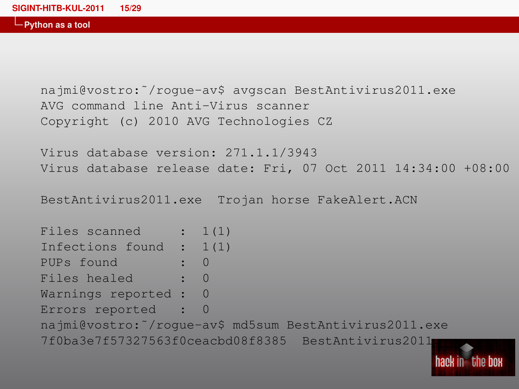najmi@vostro:˜/rogue-av\$ avgscan BestAntivirus2011.exe AVG command line Anti-Virus scanner Copyright (c) 2010 AVG Technologies CZ

Virus database version: 271.1.1/3943 Virus database release date: Fri, 07 Oct 2011 14:34:00 +08:00

BestAntivirus2011.exe Trojan horse FakeAlert.ACN

| Files scanned : $1(1)$    |                                                        |
|---------------------------|--------------------------------------------------------|
| Infections found : $1(1)$ |                                                        |
| PUPs found : 0            |                                                        |
| Files healed : 0          |                                                        |
| Warnings reported : 0     |                                                        |
| Errors reported : 0       |                                                        |
|                           | najmi@vostro: /roque-av\$ md5sum BestAntivirus2011.exe |
|                           | 7f0ba3e7f57327563f0ceacbd08f8385 BestAntivirus2011     |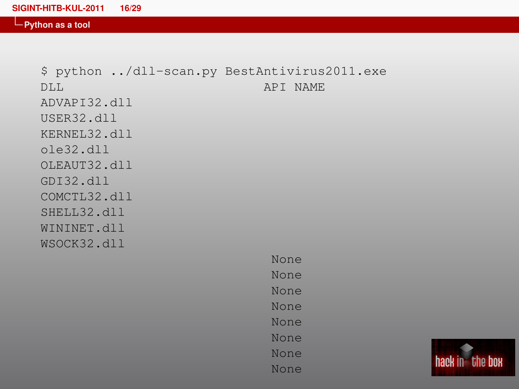\$ python ../dll-scan.py BestAntivirus2011.exe DLL API NAME ADVAPI32.dll USER32.dll KERNEL32.dll ole32.dll OLEAUT32.dll GDI32.dll COMCTL32.dll SHELL32.dll WININET.dll WSOCK32.dll

None None None None None None None None

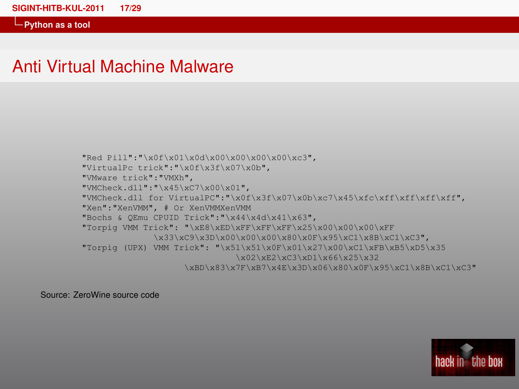### Anti Virtual Machine Malware

"Red Pill":"\x0f\x01\x0d\x00\x00\x00\x00\xc3", "VirtualPc trick":"\x0f\x3f\x07\x0b", "VMware trick":"VMXh", "VMCheck.dll":"\x45\xC7\x00\x01", "VMCheck.dll for VirtualPC":"\x0f\x3f\x07\x0b\xc7\x45\xfc\xff\xff\xff\xff", "Xen":"XenVMM", # Or XenVMMXenVMM "Bochs & QEmu CPUID Trick":"\x44\x4d\x41\x63", "Torpig VMM Trick": "\xE8\xED\xFF\xFF\xFF\x25\x00\x00\x00\xFF \x33\xC9\x3D\x00\x00\x00\x80\x0F\x95\xC1\x8B\xC1\xC3", "Torpig (UPX) VMM Trick": "\x51\x51\x0F\x01\x27\x00\xC1\xFB\xB5\xD5\x35 \x02\xE2\xC3\xD1\x66\x25\x32 \xBD\x83\x7F\xB7\x4E\x3D\x06\x80\x0F\x95\xC1\x8B\xC1\xC3"

Source: ZeroWine source code

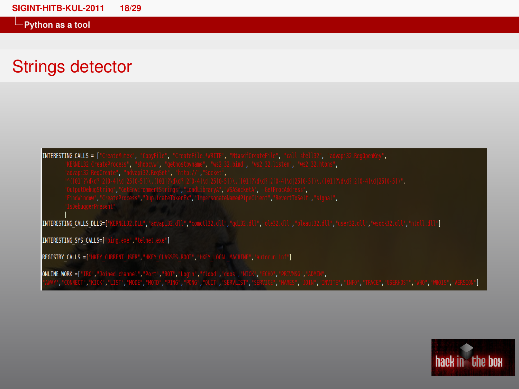## Strings detector

INTERESTING CALLS = [

INTERESTING CALLS DLLS=["KERNEL32.DLL","advapi32.dl

INTERESTING SYS CALLS=["ping.exe", "telnet.exe"]

REGISTRY\_CALLS =[ 'HKEY\_CURRENT\_USER', 'HKEY\_CLASSES\_ROOT', "HKEY\_LOCAL\_MACHIME", "autorun.inf"]

ONLINE WORK =["IRC","Joined channel","Port","BOT","Login","flood","ddos","NICK","ECHO","PRIVMSG","ADMEN",

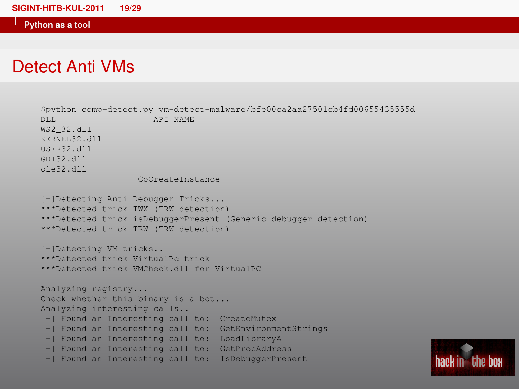### Detect Anti VMs

\$python comp-detect.py vm-detect-malware/bfe00ca2aa27501cb4fd00655435555d APT NAME WS2\_32.dll KERNEL32.dll USER32.dll GDI32.dll ole32.dll CoCreateInstance [+]Detecting Anti Debugger Tricks... \*\*\*Detected trick TWX (TRW detection) \*\*\*Detected trick isDebuggerPresent (Generic debugger detection) \*\*\*Detected trick TRW (TRW detection) [+]Detecting VM tricks.. \*\*\*Detected trick VirtualPc trick \*\*\*Detected trick VMCheck.dll for VirtualPC Analyzing registry... Check whether this binary is a bot... Analyzing interesting calls.. [+] Found an Interesting call to: CreateMutex [+] Found an Interesting call to: GetEnvironmentStrings [+] Found an Interesting call to: LoadLibraryA [+] Found an Interesting call to: GetProcAddress [+] Found an Interesting call to: IsDebuggerPresent

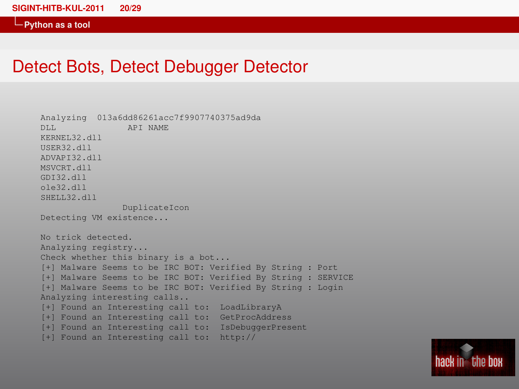### Detect Bots, Detect Debugger Detector

```
Analyzing 013a6dd86261acc7f9907740375ad9da
DLL API NAME
KERNEL32.dll
USER32.dll
ADVAPI32.dll
MSVCRT.dll
GDI32.dll
ole32.dll
SHELL32.dll
               DuplicateIcon
Detecting VM existence...
No trick detected.
Analyzing registry...
Check whether this binary is a bot...
[+] Malware Seems to be IRC BOT: Verified By String : Port
[+] Malware Seems to be IRC BOT: Verified By String : SERVICE
[+] Malware Seems to be IRC BOT: Verified By String : Login
Analyzing interesting calls..
[+] Found an Interesting call to: LoadLibraryA
[+] Found an Interesting call to: GetProcAddress
[+] Found an Interesting call to: IsDebuggerPresent
[+] Found an Interesting call to: http://
```
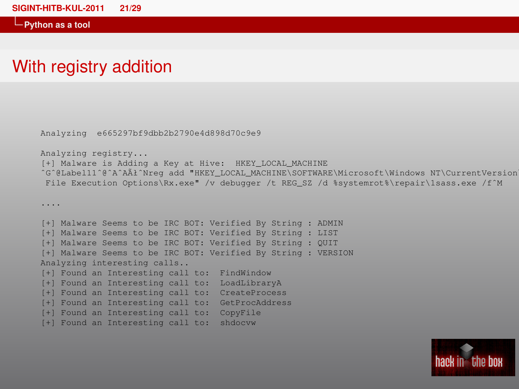....

### With registry addition

Analyzing e665297bf9dbb2b2790e4d898d70c9e9

Analyzing registry...

[+] Malware is Adding a Key at Hive: HKEY\_LOCAL\_MACHINE ˆGˆ@Label11ˆ@ˆAˆAÃłˆNreg add "HKEY\_LOCAL\_MACHINE\SOFTWARE\Microsoft\Windows NT\CurrentVersion\Image File Execution Options\Rx.exe" /v debugger /t REG\_SZ /d %systemrot%\repair\1sass.exe /f^M

[+] Malware Seems to be IRC BOT: Verified By String : ADMIN [+] Malware Seems to be IRC BOT: Verified By String : LIST [+] Malware Seems to be IRC BOT: Verified By String : QUIT [+] Malware Seems to be IRC BOT: Verified By String : VERSION Analyzing interesting calls.. [+] Found an Interesting call to: FindWindow [+] Found an Interesting call to: LoadLibraryA [+] Found an Interesting call to: CreateProcess [+] Found an Interesting call to: GetProcAddress [+] Found an Interesting call to: CopyFile [+] Found an Interesting call to: shdocvw

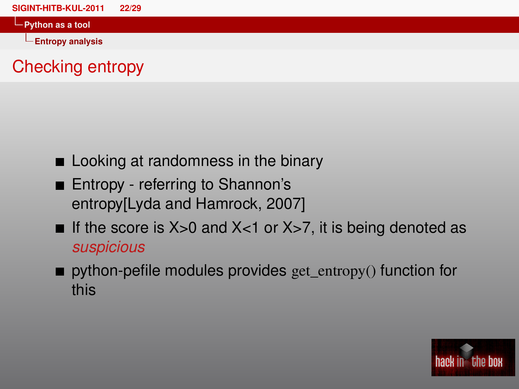**Entropy analysis**

# Checking entropy

- **Looking at randomness in the binary**
- Entropy referring to Shannon's entropy[\[Lyda and Hamrock, 2007\]](#page-28-2)
- If the score is  $X>0$  and  $X<1$  or  $X>7$ , it is being denoted as *suspicious*
- python-pefile modules provides get entropy() function for this

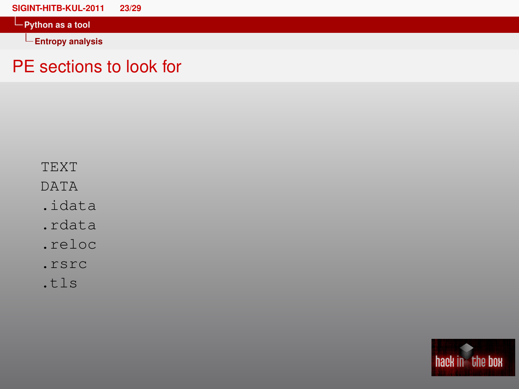**[SIGINT-HITB-KUL-2011 23/29](#page-0-0) Python as a tool Entropy analysis**

## PE sections to look for

TEXT

DATA

- .idata
- .rdata
- .reloc
- .rsrc
- .tls

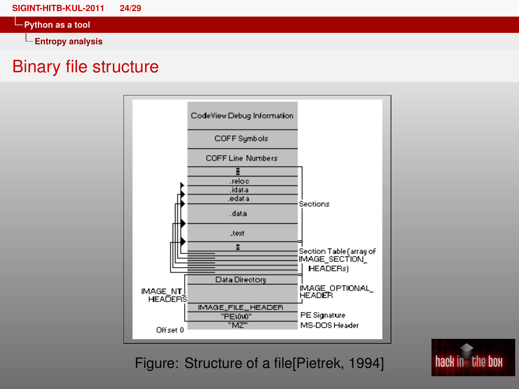**[SIGINT-HITB-KUL-2011 24/29](#page-0-0)**

**Python as a tool**

**Entropy analysis**

### Binary file structure



Figure: Structure of a file[\[Pietrek, 1994\]](#page-28-3)

hack in the box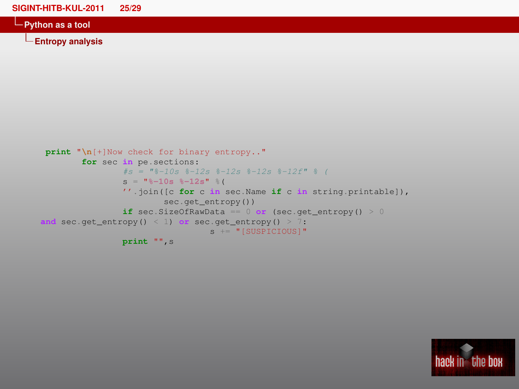**[SIGINT-HITB-KUL-2011 25/29](#page-0-0)**

**Python as a tool**

**Entropy analysis**

```
print "\n[+]Now check for binary entropy.."
        for sec in pe.sections:
                #s = "8-10s 8-12s 8-12s 8-12s 8-12f" 8 (s = "%-10s %-12s" %(
                ''.join([c for c in sec.Name if c in string.printable]),
                        sec.get_entropy())
                if sec.SizeOfRawData == 0 or (sec.get_entropy() > 0
and sec.get_entropy() < 1) or sec.get_entropy() > 7:
                                 s += "[SUSPICIOUS]"
                print "",s
```
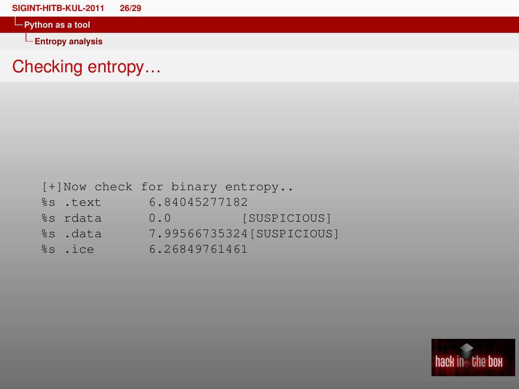**Entropy analysis**

# Checking entropy…

|          | [+]Now check for binary entropy |                            |
|----------|---------------------------------|----------------------------|
| %s .text | 6.84045277182                   |                            |
| %s rdata | 0.0                             | [SUSPICIOUS]               |
| %s .data |                                 | 7.99566735324 [SUSPICIOUS] |
| %s .ice  | 6.26849761461                   |                            |

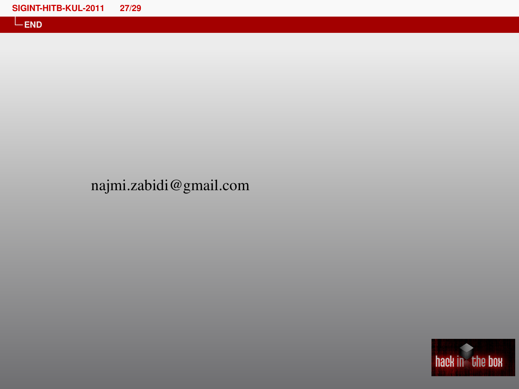### najmi.zabidi@gmail.com

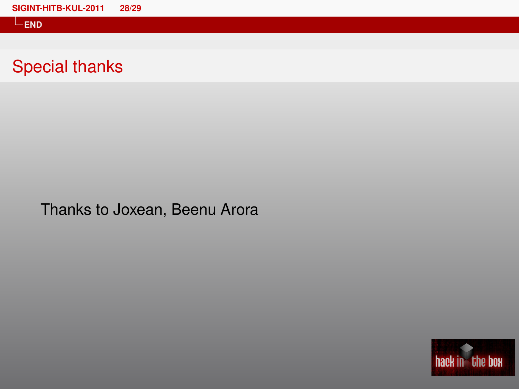**END**

## Special thanks

Thanks to Joxean, Beenu Arora